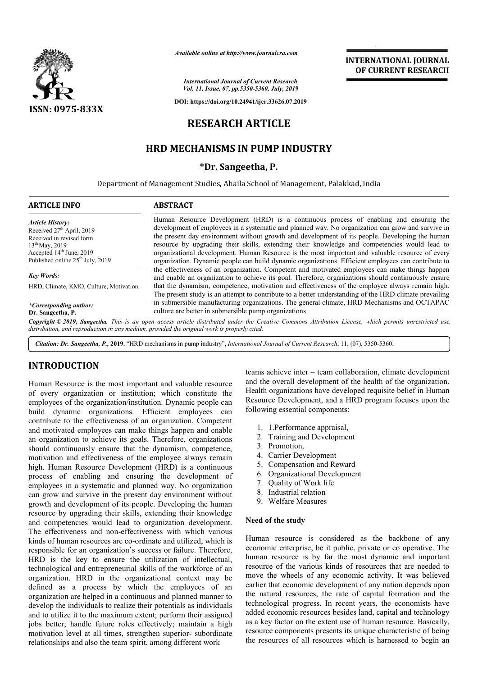

*Available online at http://www.journalcra.com*

*International Journal of Current Research Vol. 11, Issue, 07, pp.5350-5360, July, 2019*

**DOI: https://doi.org/10.24941/ijcr.33626.07.2019**

# **RESEARCH ARTICLE**

# **HRD MECHANISMS IN PUMP INDUSTRY**

## **\*Dr. Sangeetha, P.**

Department of Management Studies, Ahaila School of Management, Palakkad, India

## **ARTICLE INFO ABSTRACT**

*Article History:* Received 27<sup>th</sup> April, 2019 Received in revised form 13<sup>th</sup> May, 2019 Accepted 14<sup>th</sup> June, 2019 Published online  $25<sup>th</sup>$  July, 2019

*Key Words:*

Human Resource Development (HRD) is a continuous process of enabling and ensuring the development of employees in a systematic and planned way. No organization can grow and survive in the present day environment without growth and development of its people. Developing the human resource by upgrading their skills, extending their knowledge and competencies would lead to organizational development. Human Resource is the most important and valuable resource of every organiz organization. Dynamic people can build dynamic organizations. Efficient employees can contribute to the effectiveness of an organization. Competent and motivated employees can make things happen and enable an organization to achieve its goal. Therefore, organizations should continuously ensure that the dynamism, competence, motivation and effectiveness of the employee always remain high. The present study is an attempt to contribute to a better understanding of the HRD climate prevailing that the dynamism, competence, motivation and effectiveness of the employee always remain high.<br>The present study is an attempt to contribute to a better understanding of the HRD climate prevailing<br>in submersible manufactu culture are better in submersible pump organizations. Human Resource Development (HRD) is a continuous process of enabling and ensuring the development of employees in a systematic and planned way. No organization can grow and survive in the present day environment without gr

Copyright © 2019, Sangeetha. This is an open access article distributed under the Creative Commons Attribution License, which permits unrestricted use, *distribution, and reproduction in any medium, provided the original work is properly cited.*

Citation: Dr. Sangeetha, P., 2019. "HRD mechanisms in pump industry", *International Journal of Current Research*, 11, (07), 5350-5360.

# **INTRODUCTION**

*\*Corresponding author:*  **Dr. Sangeetha, P.**

HRD, Climate, KMO, Culture, Motivation.

Human Resource is the most important and valuable resource of every organization or institution; which constitute the employees of the organization/institution. Dynamic people can build dynamic organizations. Efficient employees can contribute to the effectiveness of an organization. Competent and motivated employees can make things happen and enable an organization to achieve its goals. Therefore, organizations should continuously ensure that the dynamism, competence, motivation and effectiveness of the employee always remain high. Human Resource Development (HRD) is a continuous process of enabling and ensuring the development of employees in a systematic and planned way. No organization can grow and survive in the present day environment without growth and development of its people. Developing the human resource by upgrading their skills, extending their knowledge and competencies would lead to organization development. The effectiveness and non-effectiveness with which various kinds of human resources are co-ordinate and utilized, which is responsible for an organization's success or failure. Therefore, HRD is the key to ensure the utilization of intellectual, technological and entrepreneurial skills of the workforce of an organization. HRD in the organizational context may be defined as a process by which the employees of an organization are helped in a continuous and planned manner to develop the individuals to realize their potentials as individuals and to utilize it to the maximum extent; perform their assigned jobs better; handle future roles effectively; maintain a high motivation level at all times, strengthen superior superior- subordinate relationships and also the team spirit, among different work I continuously ensure that the dynamism, competence,<br>tion and effectiveness of the employee always remain<br>Human Resource Development (HRD) is a continuous<br>s of enabling and ensuring the development of<br>yees in a systematic ordinate and utilized, which is<br>success or failure. Therefore,<br>he utilization of intellectual,<br>l skills of the workforce of an<br>ganizational context may be<br>hich the employees of an<br>inuous and planned manner to<br>their potenti

teams achieve inter - team collaboration, climate development and the overall development of the health of the organization. Health organizations have developed requisite belief in Human Resource Development, and a HRD program focuses upon the following essential components: e overall development of the health of the org<br>organizations have developed requisite belief<br>rce Development, and a HRD program focuse:<br>ing essential components:<br>1.Performance appraisal,

**INTERNATIONAL JOURNAL OF CURRENT RESEARCH**

- 1. 1.Performance appraisal
- 2. Training and Development
- 3. Promotion,
- 4. Carrier Development
- 5. Compensation and Reward
- 6. Organizational Development
- 7. Quality of Work life
- 8. Industrial relation
- 9. Welfare Measures

#### **Need of the study**

Human resource is considered as the backbone of any economic enterprise, be it public human resource is by far the most dynamic and important resource of the various kinds of resources that are needed to move the wheels of any economic activity. It was believed earlier that economic development of any nation depends upon the natural resources, the rate of capital formation and the the natural resources, the rate of capital formation and the technological progress. In recent years, the economists have added economic resources besides land, capital and technology as a key factor on the extent use of human resource. Basically, resource components presents its unique characteristic of being the resources of all resources which is harnessed to begin an Training and Development<br>
Promotion,<br>
Carrier Development<br>
Compensation and Reward<br>
Organizational Development<br>
Quality of Work life<br>
Industrial relation<br>
Welfare Measures<br> **of the study**<br> **enterprise** is considered as the by far the most dynamic and important<br>ous kinds of resources that are needed to<br>f any economic activity. It was believed **EXERT CONDUMEL CONDUMEL CONDUMEL CONDUMEL CONDUMEL CONDUMEL CONDUMEL CONDUMEL CONDUMEL CONDUMEL CONDUMEL CONDUMEL CONDUMEL CONDUMEL CONDUMEL CONDUMEL CONDUMEL CONDUMEL CONDUMEL CONDUMEL CONDUMEL CONDUMEL CONDUMEL CONDUME**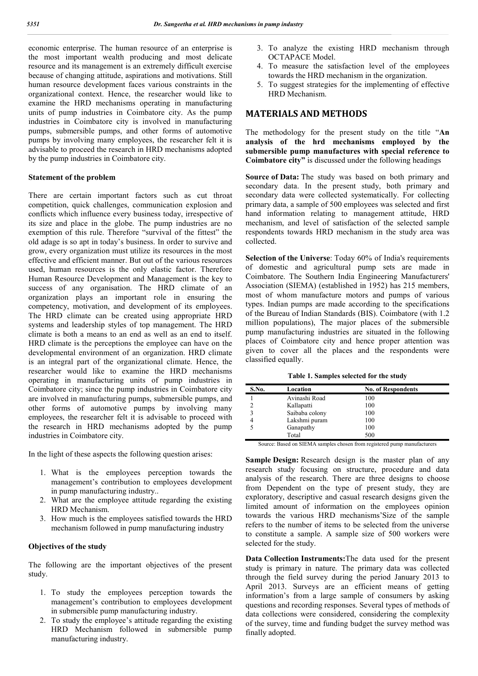economic enterprise. The human resource of an enterprise is the most important wealth producing and most delicate resource and its management is an extremely difficult exercise because of changing attitude, aspirations and motivations. Still human resource development faces various constraints in the organizational context. Hence, the researcher would like to examine the HRD mechanisms operating in manufacturing units of pump industries in Coimbatore city. As the pump industries in Coimbatore city is involved in manufacturing pumps, submersible pumps, and other forms of automotive pumps by involving many employees, the researcher felt it is advisable to proceed the research in HRD mechanisms adopted by the pump industries in Coimbatore city.

## **Statement of the problem**

There are certain important factors such as cut throat competition, quick challenges, communication explosion and conflicts which influence every business today, irrespective of its size and place in the globe. The pump industries are no exemption of this rule. Therefore "survival of the fittest" the old adage is so apt in today's business. In order to survive and grow, every organization must utilize its resources in the most effective and efficient manner. But out of the various resources used, human resources is the only elastic factor. Therefore Human Resource Development and Management is the key to success of any organisation. The HRD climate of an organization plays an important role in ensuring the competency, motivation, and development of its employees. The HRD climate can be created using appropriate HRD systems and leadership styles of top management. The HRD climate is both a means to an end as well as an end to itself. HRD climate is the perceptions the employee can have on the developmental environment of an organization. HRD climate is an integral part of the organizational climate. Hence, the researcher would like to examine the HRD mechanisms operating in manufacturing units of pump industries in Coimbatore city; since the pump industries in Coimbatore city are involved in manufacturing pumps, submersible pumps, and other forms of automotive pumps by involving many employees, the researcher felt it is advisable to proceed with the research in HRD mechanisms adopted by the pump industries in Coimbatore city.

In the light of these aspects the following question arises:

- 1. What is the employees perception towards the management's contribution to employees development in pump manufacturing industry..
- 2. What are the employee attitude regarding the existing HRD Mechanism.
- 3. How much is the employees satisfied towards the HRD mechanism followed in pump manufacturing industry

## **Objectives of the study**

The following are the important objectives of the present study.

- 1. To study the employees perception towards the management's contribution to employees development in submersible pump manufacturing industry.
- 2. To study the employee's attitude regarding the existing HRD Mechanism followed in submersible pump manufacturing industry.
- 3. To analyze the existing HRD mechanism through OCTAPACE Model.
- 4. To measure the satisfaction level of the employees towards the HRD mechanism in the organization.
- 5. To suggest strategies for the implementing of effective HRD Mechanism.

# **MATERIALS AND METHODS**

The methodology for the present study on the title "**An analysis of the hrd mechanisms employed by the submersible pump manufactures with special reference to Coimbatore city"** is discussed under the following headings

**Source of Data:** The study was based on both primary and secondary data. In the present study, both primary and secondary data were collected systematically. For collecting primary data, a sample of 500 employees was selected and first hand information relating to management attitude, HRD mechanism, and level of satisfaction of the selected sample respondents towards HRD mechanism in the study area was collected.

**Selection of the Universe**: Today 60% of India's requirements of domestic and agricultural pump sets are made in Coimbatore. The Southern India Engineering Manufacturers' Association (SIEMA) (established in 1952) has 215 members, most of whom manufacture motors and pumps of various types. Indian pumps are made according to the specifications of the Bureau of Indian Standards (BIS). Coimbatore (with 1.2 million populations), The major places of the submersible pump manufacturing industries are situated in the following places of Coimbatore city and hence proper attention was given to cover all the places and the respondents were classified equally.

**Table 1. Samples selected for the study**

| S.No. | Location       | <b>No. of Respondents</b> |
|-------|----------------|---------------------------|
|       | Avinashi Road  | 100                       |
|       | Kallapatti     | 100                       |
|       | Saibaba colony | 100                       |
|       | Lakshmi puram  | 100                       |
|       | Ganapathy      | 100                       |
|       | Total          | 500                       |

Source: Based on SIEMA samples chosen from registered pump manufacturers

**Sample Design:** Research design is the master plan of any research study focusing on structure, procedure and data analysis of the research. There are three designs to choose from Dependent on the type of present study, they are exploratory, descriptive and casual research designs given the limited amount of information on the employees opinion towards the various HRD mechanisms'Size of the sample refers to the number of items to be selected from the universe to constitute a sample. A sample size of 500 workers were selected for the study.

**Data Collection Instruments:**The data used for the present study is primary in nature. The primary data was collected through the field survey during the period January 2013 to April 2013. Surveys are an efficient means of getting information's from a large sample of consumers by asking questions and recording responses. Several types of methods of data collections were considered, considering the complexity of the survey, time and funding budget the survey method was finally adopted.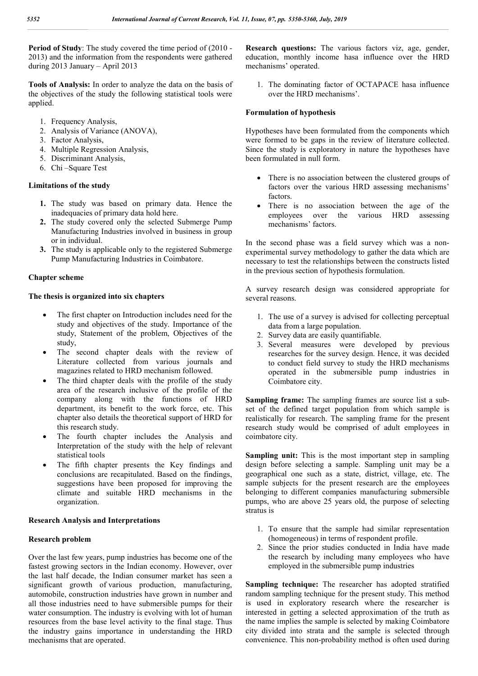**Period of Study**: The study covered the time period of (2010 - 2013) and the information from the respondents were gathered during 2013 January – April 2013

**Tools of Analysis:** In order to analyze the data on the basis of the objectives of the study the following statistical tools were applied.

- 1. Frequency Analysis,
- 2. Analysis of Variance (ANOVA),
- 3. Factor Analysis,
- 4. Multiple Regression Analysis,
- 5. Discriminant Analysis,
- 6. Chi –Square Test

## **Limitations of the study**

- **1.** The study was based on primary data. Hence the inadequacies of primary data hold here.
- **2.** The study covered only the selected Submerge Pump Manufacturing Industries involved in business in group or in individual.
- **3.** The study is applicable only to the registered Submerge Pump Manufacturing Industries in Coimbatore.

## **Chapter scheme**

# **The thesis is organized into six chapters**

- The first chapter on Introduction includes need for the study and objectives of the study. Importance of the study, Statement of the problem, Objectives of the study,
- The second chapter deals with the review of Literature collected from various journals and magazines related to HRD mechanism followed.
- The third chapter deals with the profile of the study area of the research inclusive of the profile of the company along with the functions of HRD department, its benefit to the work force, etc. This chapter also details the theoretical support of HRD for this research study.
- The fourth chapter includes the Analysis and Interpretation of the study with the help of relevant statistical tools
- The fifth chapter presents the Key findings and conclusions are recapitulated. Based on the findings, suggestions have been proposed for improving the climate and suitable HRD mechanisms in the organization.

## **Research Analysis and Interpretations**

## **Research problem**

Over the last few years, pump industries has become one of the fastest growing sectors in the Indian economy. However, over the last half decade, the Indian consumer market has seen a significant growth of various production, manufacturing, automobile, construction industries have grown in number and all those industries need to have submersible pumps for their water consumption. The industry is evolving with lot of human resources from the base level activity to the final stage. Thus the industry gains importance in understanding the HRD mechanisms that are operated.

**Research questions:** The various factors viz, age, gender, education, monthly income hasa influence over the HRD mechanisms' operated.

1. The dominating factor of OCTAPACE hasa influence over the HRD mechanisms'.

## **Formulation of hypothesis**

Hypotheses have been formulated from the components which were formed to be gaps in the review of literature collected. Since the study is exploratory in nature the hypotheses have been formulated in null form.

- There is no association between the clustered groups of factors over the various HRD assessing mechanisms' factors.
- There is no association between the age of the employees over the various HRD assessing mechanisms' factors.

In the second phase was a field survey which was a nonexperimental survey methodology to gather the data which are necessary to test the relationships between the constructs listed in the previous section of hypothesis formulation.

A survey research design was considered appropriate for several reasons.

- 1. The use of a survey is advised for collecting perceptual data from a large population.
- 2. Survey data are easily quantifiable.
- 3. Several measures were developed by previous researches for the survey design. Hence, it was decided to conduct field survey to study the HRD mechanisms operated in the submersible pump industries in Coimbatore city.

**Sampling frame:** The sampling frames are source list a subset of the defined target population from which sample is realistically for research. The sampling frame for the present research study would be comprised of adult employees in coimbatore city.

**Sampling unit:** This is the most important step in sampling design before selecting a sample. Sampling unit may be a geographical one such as a state, district, village, etc. The sample subjects for the present research are the employees belonging to different companies manufacturing submersible pumps, who are above 25 years old, the purpose of selecting stratus is

- 1. To ensure that the sample had similar representation (homogeneous) in terms of respondent profile.
- 2. Since the prior studies conducted in India have made the research by including many employees who have employed in the submersible pump industries

**Sampling technique:** The researcher has adopted stratified random sampling technique for the present study. This method is used in exploratory research where the researcher is interested in getting a selected approximation of the truth as the name implies the sample is selected by making Coimbatore city divided into strata and the sample is selected through convenience. This non-probability method is often used during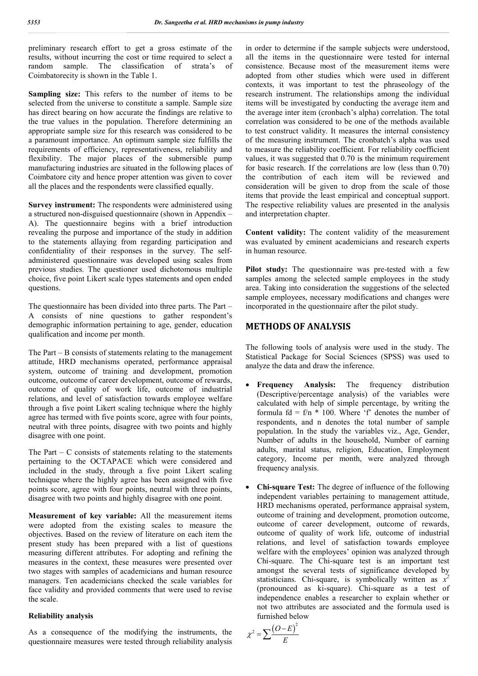preliminary research effort to get a gross estimate of the results, without incurring the cost or time required to select a random sample. The classification of strata's of Coimbatorecity is shown in the Table 1.

**Sampling size:** This refers to the number of items to be selected from the universe to constitute a sample. Sample size has direct bearing on how accurate the findings are relative to the true values in the population. Therefore determining an appropriate sample size for this research was considered to be a paramount importance. An optimum sample size fulfills the requirements of efficiency, representativeness, reliability and flexibility. The major places of the submersible pump manufacturing industries are situated in the following places of Coimbatore city and hence proper attention was given to cover all the places and the respondents were classified equally.

**Survey instrument:** The respondents were administered using a structured non-disguised questionnaire (shown in Appendix – A). The questionnaire begins with a brief introduction revealing the purpose and importance of the study in addition to the statements allaying from regarding participation and confidentiality of their responses in the survey. The selfadministered questionnaire was developed using scales from previous studies. The questioner used dichotomous multiple choice, five point Likert scale types statements and open ended questions.

The questionnaire has been divided into three parts. The Part – A consists of nine questions to gather respondent's demographic information pertaining to age, gender, education qualification and income per month.

The Part – B consists of statements relating to the management attitude, HRD mechanisms operated, performance appraisal system, outcome of training and development, promotion outcome, outcome of career development, outcome of rewards, outcome of quality of work life, outcome of industrial relations, and level of satisfaction towards employee welfare through a five point Likert scaling technique where the highly agree has termed with five points score, agree with four points, neutral with three points, disagree with two points and highly disagree with one point.

The Part  $-$  C consists of statements relating to the statements pertaining to the OCTAPACE which were considered and included in the study, through a five point Likert scaling technique where the highly agree has been assigned with five points score, agree with four points, neutral with three points, disagree with two points and highly disagree with one point.

**Measurement of key variable:** All the measurement items were adopted from the existing scales to measure the objectives. Based on the review of literature on each item the present study has been prepared with a list of questions measuring different attributes. For adopting and refining the measures in the context, these measures were presented over two stages with samples of academicians and human resource managers. Ten academicians checked the scale variables for face validity and provided comments that were used to revise the scale.

### **Reliability analysis**

As a consequence of the modifying the instruments, the questionnaire measures were tested through reliability analysis in order to determine if the sample subjects were understood, all the items in the questionnaire were tested for internal consistence. Because most of the measurement items were adopted from other studies which were used in different contexts, it was important to test the phraseology of the research instrument. The relationships among the individual items will be investigated by conducting the average item and the average inter item (cronbach's alpha) correlation. The total correlation was considered to be one of the methods available to test construct validity. It measures the internal consistency of the measuring instrument. The cronbatch's alpha was used to measure the reliability coefficient. For reliability coefficient values, it was suggested that 0.70 is the minimum requirement for basic research. If the correlations are low (less than 0.70) the contribution of each item will be reviewed and consideration will be given to drop from the scale of those items that provide the least empirical and conceptual support. The respective reliability values are presented in the analysis and interpretation chapter.

**Content validity:** The content validity of the measurement was evaluated by eminent academicians and research experts in human resource.

**Pilot study:** The questionnaire was pre-tested with a few samples among the selected sample employees in the study area. Taking into consideration the suggestions of the selected sample employees, necessary modifications and changes were incorporated in the questionnaire after the pilot study.

# **METHODS OF ANALYSIS**

The following tools of analysis were used in the study. The Statistical Package for Social Sciences (SPSS) was used to analyze the data and draw the inference.

- **Frequency Analysis:** The frequency distribution (Descriptive/percentage analysis) of the variables were calculated with help of simple percentage, by writing the formula  $fd = f/n * 100$ . Where 'f' denotes the number of respondents, and n denotes the total number of sample population. In the study the variables viz., Age, Gender, Number of adults in the household, Number of earning adults, marital status, religion, Education, Employment category, Income per month, were analyzed through frequency analysis.
- **Chi-square Test:** The degree of influence of the following independent variables pertaining to management attitude, HRD mechanisms operated, performance appraisal system, outcome of training and development, promotion outcome, outcome of career development, outcome of rewards, outcome of quality of work life, outcome of industrial relations, and level of satisfaction towards employee welfare with the employees' opinion was analyzed through Chi-square. The Chi-square test is an important test amongst the several tests of significance developed by statisticians. Chi-square, is symbolically written as  $x^2$ (pronounced as ki-square). Chi-square as a test of independence enables a researcher to explain whether or not two attributes are associated and the formula used is furnished below

$$
\chi^2 = \sum \frac{\left(O - E\right)^2}{E}
$$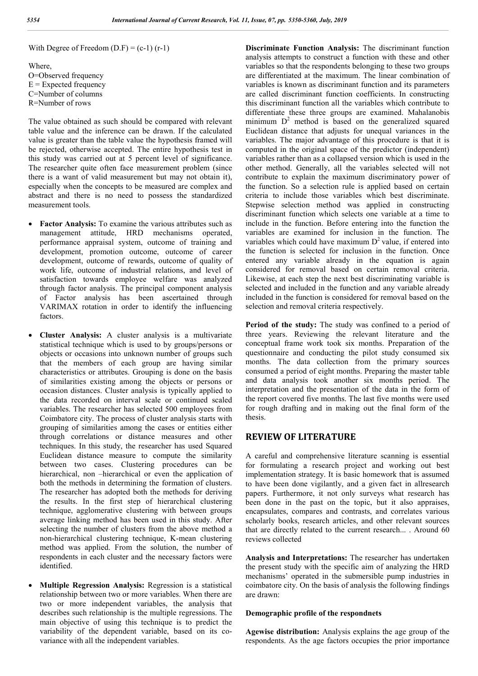With Degree of Freedom  $(D.F) = (c-1) (r-1)$ 

Where, O=Observed frequency  $E =$ Expected frequency C=Number of columns R=Number of rows

The value obtained as such should be compared with relevant table value and the inference can be drawn. If the calculated value is greater than the table value the hypothesis framed will be rejected, otherwise accepted. The entire hypothesis test in this study was carried out at 5 percent level of significance. The researcher quite often face measurement problem (since there is a want of valid measurement but may not obtain it), especially when the concepts to be measured are complex and abstract and there is no need to possess the standardized measurement tools.

- **Factor Analysis:** To examine the various attributes such as management attitude, HRD mechanisms operated, performance appraisal system, outcome of training and development, promotion outcome, outcome of career development, outcome of rewards, outcome of quality of work life, outcome of industrial relations, and level of satisfaction towards employee welfare was analyzed through factor analysis. The principal component analysis of Factor analysis has been ascertained through VARIMAX rotation in order to identify the influencing factors.
- **Cluster Analysis:** A cluster analysis is a multivariate statistical technique which is used to by groups/persons or objects or occasions into unknown number of groups such that the members of each group are having similar characteristics or attributes. Grouping is done on the basis of similarities existing among the objects or persons or occasion distances. Cluster analysis is typically applied to the data recorded on interval scale or continued scaled variables. The researcher has selected 500 employees from Coimbatore city. The process of cluster analysis starts with grouping of similarities among the cases or entities either through correlations or distance measures and other techniques. In this study, the researcher has used Squared Euclidean distance measure to compute the similarity between two cases. Clustering procedures can be hierarchical, non –hierarchical or even the application of both the methods in determining the formation of clusters. The researcher has adopted both the methods for deriving the results. In the first step of hierarchical clustering technique, agglomerative clustering with between groups average linking method has been used in this study. After selecting the number of clusters from the above method a non-hierarchical clustering technique, K-mean clustering method was applied. From the solution, the number of respondents in each cluster and the necessary factors were identified.
- **Multiple Regression Analysis:** Regression is a statistical relationship between two or more variables. When there are two or more independent variables, the analysis that describes such relationship is the multiple regressions. The main objective of using this technique is to predict the variability of the dependent variable, based on its covariance with all the independent variables.

**Discriminate Function Analysis:** The discriminant function analysis attempts to construct a function with these and other variables so that the respondents belonging to these two groups are differentiated at the maximum. The linear combination of variables is known as discriminant function and its parameters are called discriminant function coefficients. In constructing this discriminant function all the variables which contribute to differentiate these three groups are examined. Mahalanobis minimum  $D^2$  method is based on the generalized squared Euclidean distance that adjusts for unequal variances in the variables. The major advantage of this procedure is that it is computed in the original space of the predictor (independent) variables rather than as a collapsed version which is used in the other method. Generally, all the variables selected will not contribute to explain the maximum discriminatory power of the function. So a selection rule is applied based on certain criteria to include those variables which best discriminate. Stepwise selection method was applied in constructing discriminant function which selects one variable at a time to include in the function. Before entering into the function the variables are examined for inclusion in the function. The variables which could have maximum  $D<sup>2</sup>$  value, if entered into the function is selected for inclusion in the function. Once entered any variable already in the equation is again considered for removal based on certain removal criteria. Likewise, at each step the next best discriminating variable is selected and included in the function and any variable already included in the function is considered for removal based on the selection and removal criteria respectively.

**Period of the study:** The study was confined to a period of three years. Reviewing the relevant literature and the conceptual frame work took six months. Preparation of the questionnaire and conducting the pilot study consumed six months. The data collection from the primary sources consumed a period of eight months. Preparing the master table and data analysis took another six months period. The interpretation and the presentation of the data in the form of the report covered five months. The last five months were used for rough drafting and in making out the final form of the thesis.

# **REVIEW OF LITERATURE**

A careful and comprehensive literature scanning is essential for formulating a research project and working out best implementation strategy. It is basic homework that is assumed to have been done vigilantly, and a given fact in allresearch papers. Furthermore, it not only surveys what research has been done in the past on the topic, but it also appraises, encapsulates, compares and contrasts, and correlates various scholarly books, research articles, and other relevant sources that are directly related to the current research... . Around 60 reviews collected

**Analysis and Interpretations:** The researcher has undertaken the present study with the specific aim of analyzing the HRD mechanisms' operated in the submersible pump industries in coimbatore city. On the basis of analysis the following findings are drawn:

## **Demographic profile of the respondnets**

**Agewise distribution:** Analysis explains the age group of the respondents. As the age factors occupies the prior importance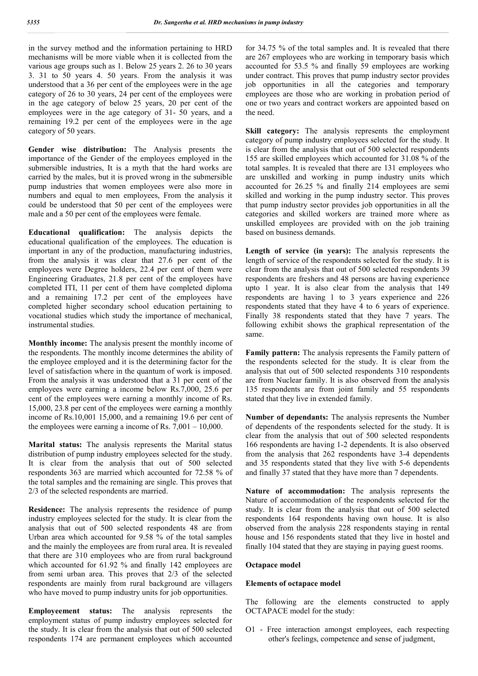in the survey method and the information pertaining to HRD mechanisms will be more viable when it is collected from the various age groups such as 1. Below 25 years 2. 26 to 30 years 3. 31 to 50 years 4. 50 years. From the analysis it was understood that a 36 per cent of the employees were in the age category of 26 to 30 years, 24 per cent of the employees were in the age category of below 25 years, 20 per cent of the employees were in the age category of 31- 50 years, and a remaining 19.2 per cent of the employees were in the age category of 50 years.

**Gender wise distribution:** The Analysis presents the importance of the Gender of the employees employed in the submersible industries, It is a myth that the hard works are carried by the males, but it is proved wrong in the submersible pump industries that women employees were also more in numbers and equal to men employees, From the analysis it could be understood that 50 per cent of the employees were male and a 50 per cent of the employees were female.

**Educational qualification:** The analysis depicts the educational qualification of the employees. The education is important in any of the production, manufacturing industries, from the analysis it was clear that 27.6 per cent of the employees were Degree holders, 22.4 per cent of them were Engineering Graduates, 21.8 per cent of the employees have completed ITI, 11 per cent of them have completed diploma and a remaining 17.2 per cent of the employees have completed higher secondary school education pertaining to vocational studies which study the importance of mechanical, instrumental studies.

**Monthly income:** The analysis present the monthly income of the respondents. The monthly income determines the ability of the employee employed and it is the determining factor for the level of satisfaction where in the quantum of work is imposed. From the analysis it was understood that a 31 per cent of the employees were earning a income below Rs.7,000, 25.6 per cent of the employees were earning a monthly income of Rs. 15,000, 23.8 per cent of the employees were earning a monthly income of Rs.10,001 15,000, and a remaining 19.6 per cent of the employees were earning a income of Rs. 7,001 – 10,000.

**Marital status:** The analysis represents the Marital status distribution of pump industry employees selected for the study. It is clear from the analysis that out of 500 selected respondents 363 are married which accounted for 72.58 % of the total samples and the remaining are single. This proves that 2/3 of the selected respondents are married.

**Residence:** The analysis represents the residence of pump industry employees selected for the study. It is clear from the analysis that out of 500 selected respondents 48 are from Urban area which accounted for 9.58 % of the total samples and the mainly the employees are from rural area. It is revealed that there are 310 employees who are from rural background which accounted for 61.92 % and finally 142 employees are from semi urban area. This proves that 2/3 of the selected respondents are mainly from rural background are villagers who have moved to pump industry units for job opportunities.

**Employeement status:** The analysis represents the employment status of pump industry employees selected for the study. It is clear from the analysis that out of 500 selected respondents 174 are permanent employees which accounted

for 34.75 % of the total samples and. It is revealed that there are 267 employees who are working in temporary basis which accounted for 53.5 % and finally 59 employees are working under contract. This proves that pump industry sector provides job opportunities in all the categories and temporary employees are those who are working in probation period of one or two years and contract workers are appointed based on the need.

**Skill category:** The analysis represents the employment category of pump industry employees selected for the study. It is clear from the analysis that out of 500 selected respondents 155 are skilled employees which accounted for 31.08 % of the total samples. It is revealed that there are 131 employees who are unskilled and working in pump industry units which accounted for 26.25 % and finally 214 employees are semi skilled and working in the pump industry sector. This proves that pump industry sector provides job opportunities in all the categories and skilled workers are trained more where as unskilled employees are provided with on the job training based on business demands.

**Length of service (in years):** The analysis represents the length of service of the respondents selected for the study. It is clear from the analysis that out of 500 selected respondents 39 respondents are freshers and 48 persons are having experience upto 1 year. It is also clear from the analysis that 149 respondents are having 1 to 3 years experience and 226 respondents stated that they have 4 to 6 years of experience. Finally 38 respondents stated that they have 7 years. The following exhibit shows the graphical representation of the same.

**Family pattern:** The analysis represents the Family pattern of the respondents selected for the study. It is clear from the analysis that out of 500 selected respondents 310 respondents are from Nuclear family. It is also observed from the analysis 135 respondents are from joint family and 55 respondents stated that they live in extended family.

**Number of dependants:** The analysis represents the Number of dependents of the respondents selected for the study. It is clear from the analysis that out of 500 selected respondents 166 respondents are having 1-2 dependents. It is also observed from the analysis that 262 respondents have 3-4 dependents and 35 respondents stated that they live with 5-6 dependents and finally 37 stated that they have more than 7 dependents.

**Nature of accommodation:** The analysis represents the Nature of accommodation of the respondents selected for the study. It is clear from the analysis that out of 500 selected respondents 164 respondents having own house. It is also observed from the analysis 228 respondents staying in rental house and 156 respondents stated that they live in hostel and finally 104 stated that they are staying in paying guest rooms.

## **Octapace model**

#### **Elements of octapace model**

The following are the elements constructed to apply OCTAPACE model for the study:

O1 - Free interaction amongst employees, each respecting other's feelings, competence and sense of judgment,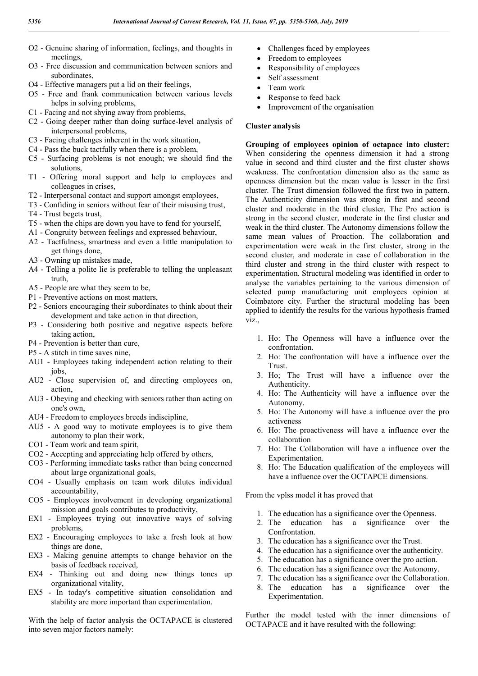- O2 Genuine sharing of information, feelings, and thoughts in meetings,
- O3 Free discussion and communication between seniors and subordinates,
- O4 Effective managers put a lid on their feelings,
- O5 Free and frank communication between various levels helps in solving problems,
- C1 Facing and not shying away from problems,
- C2 Going deeper rather than doing surface-level analysis of interpersonal problems,
- C3 Facing challenges inherent in the work situation,
- C4 Pass the buck tactfully when there is a problem,
- C5 Surfacing problems is not enough; we should find the solutions,
- T1 Offering moral support and help to employees and colleagues in crises,
- T2 Interpersonal contact and support amongst employees,
- T3 Confiding in seniors without fear of their misusing trust,
- T4 Trust begets trust,
- T5 when the chips are down you have to fend for yourself,
- A1 Congruity between feelings and expressed behaviour,
- A2 Tactfulness, smartness and even a little manipulation to get things done,
- A3 Owning up mistakes made,
- A4 Telling a polite lie is preferable to telling the unpleasant truth,
- A5 People are what they seem to be,
- P1 Preventive actions on most matters,
- P2 Seniors encouraging their subordinates to think about their development and take action in that direction,
- P3 Considering both positive and negative aspects before taking action,
- P4 Prevention is better than cure,
- P5 A stitch in time saves nine,
- AU1 Employees taking independent action relating to their jobs,
- AU2 Close supervision of, and directing employees on, action,
- AU3 Obeying and checking with seniors rather than acting on one's own,
- AU4 Freedom to employees breeds indiscipline,
- AU5 A good way to motivate employees is to give them autonomy to plan their work,
- CO1 Team work and team spirit,
- CO2 Accepting and appreciating help offered by others,
- CO3 Performing immediate tasks rather than being concerned about large organizational goals,
- CO4 Usually emphasis on team work dilutes individual accountability,
- CO5 Employees involvement in developing organizational mission and goals contributes to productivity,
- EX1 Employees trying out innovative ways of solving problems,
- EX2 Encouraging employees to take a fresh look at how things are done,
- EX3 Making genuine attempts to change behavior on the basis of feedback received,
- EX4 Thinking out and doing new things tones up organizational vitality,
- EX5 In today's competitive situation consolidation and stability are more important than experimentation.

With the help of factor analysis the OCTAPACE is clustered into seven major factors namely:

- Challenges faced by employees
- Freedom to employees
- Responsibility of employees
- Self assessment
- Team work
- Response to feed back
- Improvement of the organisation

#### **Cluster analysis**

**Grouping of employees opinion of octapace into cluster:**  When considering the openness dimension it had a strong value in second and third cluster and the first cluster shows weakness. The confrontation dimension also as the same as openness dimension but the mean value is lesser in the first cluster. The Trust dimension followed the first two in pattern. The Authenticity dimension was strong in first and second cluster and moderate in the third cluster. The Pro action is strong in the second cluster, moderate in the first cluster and weak in the third cluster. The Autonomy dimensions follow the same mean values of Proaction. The collaboration and experimentation were weak in the first cluster, strong in the second cluster, and moderate in case of collaboration in the third cluster and strong in the third cluster with respect to experimentation. Structural modeling was identified in order to analyse the variables pertaining to the various dimension of selected pump manufacturing unit employees opinion at Coimbatore city. Further the structural modeling has been applied to identify the results for the various hypothesis framed viz.

- 1. Ho: The Openness will have a influence over the confrontation.
- 2. Ho: The confrontation will have a influence over the Trust.
- 3. Ho; The Trust will have a influence over the Authenticity.
- 4. Ho: The Authenticity will have a influence over the Autonomy.
- 5. Ho: The Autonomy will have a influence over the pro activeness
- 6. Ho: The proactiveness will have a influence over the collaboration
- 7. Ho: The Collaboration will have a influence over the Experimentation.
- 8. Ho: The Education qualification of the employees will have a influence over the OCTAPCE dimensions.

From the vplss model it has proved that

- 1. The education has a significance over the Openness.
- 2. The education has a significance over the Confrontation.
- 3. The education has a significance over the Trust.
- 4. The education has a significance over the authenticity.
- 5. The education has a significance over the pro action.
- 6. The education has a significance over the Autonomy.
- 7. The education has a significance over the Collaboration.
- 8. The education has a significance over the Experimentation.

Further the model tested with the inner dimensions of OCTAPACE and it have resulted with the following: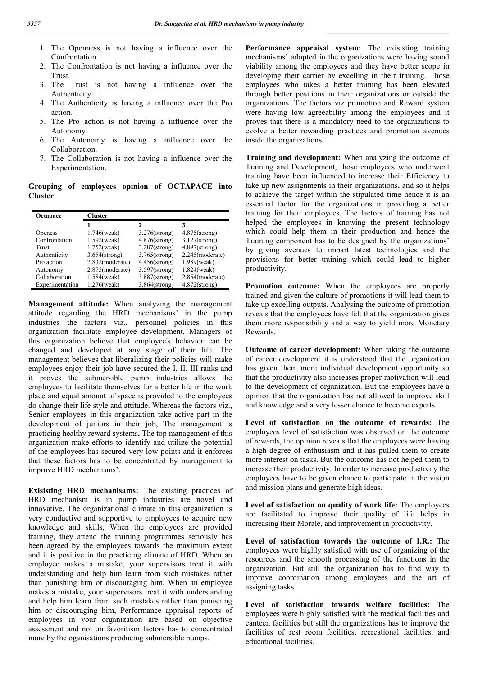- 1. The Openness is not having a influence over the Confrontation.
- 2. The Confrontation is not having a influence over the Trust.
- 3. The Trust is not having a influence over the Authenticity.
- 4. The Authenticity is having a influence over the Pro action.
- 5. The Pro action is not having a influence over the Autonomy.
- 6. The Autonomy is having a influence over the Collaboration.
- 7. The Collaboration is not having a influence over the Experimentation.

**Grouping of employees opinion of OCTAPACE into Cluster**

| Octapace        | <b>Cluster</b>   |                  |                    |
|-----------------|------------------|------------------|--------------------|
|                 |                  |                  |                    |
| <b>Openess</b>  | $1.746$ (weak)   | $3.276$ (strong) | $4.875$ (strong)   |
| Confrontation   | $1.592$ (weak)   | $4.876$ (strong) | $3.127$ (strong)   |
| Trust           | $1.752$ (weak)   | $3.287$ (strong) | $4.897$ (strong)   |
| Authenticity    | $3.654$ (strong) | $3.765$ (strong) | $2.245$ (moderate) |
| Pro action      | 2.832(moderate)  | $4.456$ (strong) | 1.989(weak)        |
| Autonomy        | 2.875(moderate)  | $3.597$ (strong) | $1.824$ (weak)     |
| Collaboration   | 1.584(weak)      | $3.887$ (strong) | 2.854(moderate)    |
| Experimentation | $1.276$ (weak)   | $3.864$ (strong) | $4.872$ (strong)   |

**Management attitude:** When analyzing the management attitude regarding the HRD mechanisms' in the pump industries the factors viz., personnel policies in this organization facilitate employee development, Managers of this organization believe that employee's behavior can be changed and developed at any stage of their life. The management believes that liberalizing their policies will make employees enjoy their job have secured the I, II, III ranks and it proves the submersible pump industries allows the employees to facilitate themselves for a better life in the work place and equal amount of space is provided to the employees do change their life style and attitude. Whereas the factors viz., Senior employees in this organization take active part in the development of juniors in their job, The management is practicing healthy reward systems, The top management of this organization make efforts to identify and utilize the potential of the employees has secured very low points and it enforces that these factors has to be concentrated by management to improve HRD mechanisms'.

**Exisisting HRD mechanisams:** The existing practices of HRD mechanism is in pump industries are novel and innovative, The organizational climate in this organization is very conductive and supportive to employees to acquire new knowledge and skills, When the employees are provided training, they attend the training programmes seriously has been agreed by the employees towards the maximum extent and it is positive in the practicing climate of HRD. When an employee makes a mistake, your supervisors treat it with understanding and help him learn from such mistakes rather than punishing him or discouraging him, When an employee makes a mistake, your supervisors treat it with understanding and help him learn from such mistakes rather than punishing him or discouraging him, Performance appraisal reports of employees in your organization are based on objective assessment and not on favoritism factors has to concentrated more by the oganisations producing submersible pumps.

Performance appraisal system: The exisisting training mechanisms' adopted in the organizations were having sound viability among the employees and they have better scope in developing their carrier by excelling in their training. Those employees who takes a better training has been elevated through better positions in their organizations or outside the organizations. The factors viz promotion and Reward system were having low agreeability among the employees and it proves that there is a mandatory need to the organizations to evolve a better rewarding practices and promotion avenues inside the organizations.

**Training and development:** When analyzing the outcome of Training and Development, those employees who underwent training have been influenced to increase their Efficiency to take up new assignments in their organizations, and so it helps to achieve the target within the stipulated time hence it is an essential factor for the organizations in providing a better training for their employees. The factors of training has not helped the employees in knowing the present technology which could help them in their production and hence the Training component has to be designed by the organizations' by giving avenues to impart latest technologies and the provisions for better training which could lead to higher productivity.

**Promotion outcome:** When the employees are properly trained and given the culture of promotions it will lead them to take up excelling outputs. Analysing the outcome of promotion reveals that the employees have felt that the organization gives them more responsibility and a way to yield more Monetary Rewards.

**Outcome of career development:** When taking the outcome of career development it is understood that the organization has given them more individual development opportunity so that the productivity also increases proper motivation will lead to the development of organization. But the employees have a opinion that the organization has not allowed to improve skill and knowledge and a very lesser chance to become experts.

**Level of satisfaction on the outcome of rewards:** The employees level of satisfaction was observed on the outcome of rewards, the opinion reveals that the employees were having a high degree of enthusiasm and it has pulled them to create more interest on tasks. But the outcome has not helped them to increase their productivity. In order to increase productivity the employees have to be given chance to participate in the vision and mission plans and generate high ideas.

**Level of satisfaction on quality of work life:** The employees are facilitated to improve their quality of life helps in increasing their Morale, and improvement in productivity.

**Level of satisfaction towards the outcome of I.R.:** The employees were highly satisfied with use of organizing of the resources and the smooth processing of the functions in the organization. But still the organization has to find way to improve coordination among employees and the art of assigning tasks.

**Level of satisfaction towards welfare facilities:** The employees were highly satisfied with the medical facilities and canteen facilities but still the organizations has to improve the facilities of rest room facilities, recreational facilities, and educational facilities.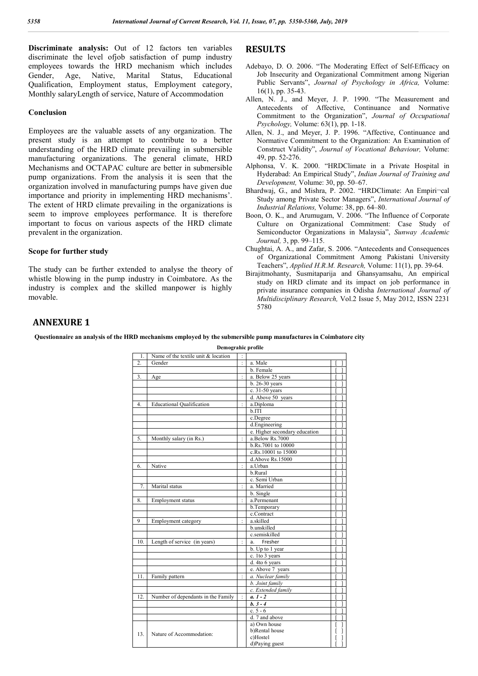**Discriminate analysis:** Out of 12 factors ten variables discriminate the level ofjob satisfaction of pump industry employees towards the HRD mechanism which includes Gender, Age, Native, Marital Status, Educational Qualification, Employment status, Employment category, Monthly salaryLength of service, Nature of Accommodation

#### **Conclusion**

Employees are the valuable assets of any organization. The present study is an attempt to contribute to a better understanding of the HRD climate prevailing in submersible manufacturing organizations. The general climate, HRD Mechanisms and OCTAPAC culture are better in submersible pump organizations. From the analysis it is seen that the organization involved in manufacturing pumps have given due importance and priority in implementing HRD mechanisms'. The extent of HRD climate prevailing in the organizations is seem to improve employees performance. It is therefore important to focus on various aspects of the HRD climate prevalent in the organization.

#### **Scope for further study**

The study can be further extended to analyse the theory of whistle blowing in the pump industry in Coimbatore. As the industry is complex and the skilled manpower is highly movable.

# **RESULTS**

- Adebayo, D. O. 2006. "The Moderating Effect of Self-Efficacy on Job Insecurity and Organizational Commitment among Nigerian Public Servants", *Journal of Psychology in Africa,* Volume: 16(1), pp. 35-43.
- Allen, N. J., and Meyer, J. P. 1990. "The Measurement and Antecedents of Affective, Continuance and Normative Commitment to the Organization", *Journal of Occupational Psychology,* Volume: 63(1), pp. 1-18.
- Allen, N. J., and Meyer, J. P. 1996. "Affective, Continuance and Normative Commitment to the Organization: An Examination of Construct Validity", *Journal of Vocational Behaviour,* Volume: 49, pp. 52-276.
- Alphonsa, V. K. 2000. "HRDClimate in a Private Hospital in Hyderabad: An Empirical Study", *Indian Journal of Training and Development,* Volume: 30, pp. 50–67.
- Bhardwaj, G., and Mishra, P. 2002. "HRDClimate: An Empiri-cal Study among Private Sector Managers", *International Journal of Industrial Relations,* Volume: 38, pp. 64–80.
- Boon, O. K., and Arumugam, V. 2006. "The Influence of Corporate Culture on Organizational Commitment: Case Study of Semiconductor Organizations in Malaysia", *Sunway Academic Journal,* 3, pp. 99–115.
- Chughtai, A. A., and Zafar, S. 2006. "Antecedents and Consequences of Organizational Commitment Among Pakistani University Teachers", *Applied H.R.M. Research,* Volume: 11(1), pp. 39-64.
- Birajitmohanty, Susmitaparija and Ghansyamsahu, An empirical study on HRD climate and its impact on job performance in private insurance companies in Odisha *International Journal of Multidisciplinary Research,* Vol.2 Issue 5, May 2012, ISSN 2231 5780

# **ANNEXURE 1**

**Questionnaire an analysis of the HRD mechanisms employed by the submersible pump manufactures in Coimbatore city**

**Demograhic profile**

| $\mathbf{1}$ . | Name of the textile unit & location |                               |  |
|----------------|-------------------------------------|-------------------------------|--|
| $\overline{2}$ | Gender                              | a. Male                       |  |
|                |                                     | <b>b</b> Female               |  |
| 3.             | Age                                 | a. Below 25 years             |  |
|                |                                     | b. 26-30 years                |  |
|                |                                     | c. 31-50 years                |  |
|                |                                     | d. Above 50 years             |  |
| $\overline{4}$ | <b>Educational Qualification</b>    | a.Diploma                     |  |
|                |                                     | b.ITI                         |  |
|                |                                     | c.Degree                      |  |
|                |                                     | d.Engineering                 |  |
|                |                                     | e. Higher secondary education |  |
| 5.             | Monthly salary (in Rs.)             | a.Below Rs.7000               |  |
|                |                                     | b.Rs.7001 to 10000            |  |
|                |                                     | c.Rs. 10001 to 15000          |  |
|                |                                     | d.Above Rs.15000              |  |
| 6.             | Native                              | a.Urban                       |  |
|                |                                     | b.Rural                       |  |
|                |                                     | c. Semi Urban                 |  |
| 7.             | Marital status                      | a. Married                    |  |
|                |                                     | b. Single                     |  |
| 8.             | Employment status                   | a.Permenant                   |  |
|                |                                     | b.Temporary                   |  |
|                |                                     | c.Contract                    |  |
| 9              | Employment category                 | a.skilled                     |  |
|                |                                     | b.unskilled                   |  |
|                |                                     | c.semiskilled                 |  |
| 10.            | Length of service (in years)        | Fresher<br>a.                 |  |
|                |                                     | b. Up to 1 year               |  |
|                |                                     | c. 1to 3 years                |  |
|                |                                     | d. 4to 6 years                |  |
|                |                                     | e. Above 7 years              |  |
| 11.            | Family pattern                      | a. Nuclear family             |  |
|                |                                     | $\overline{b}$ . Joint family |  |
|                |                                     | c. Extended family            |  |
| 12.            | Number of dependants in the Family  | $a. 1 - 2$                    |  |
|                |                                     | $b. 3 - 4$                    |  |
|                |                                     | c. $5 - 6$                    |  |
|                |                                     | d. 7 and above                |  |
|                |                                     | a) Own house                  |  |
|                |                                     | b)Rental house                |  |
| 13.            | Nature of Accommodation:            | c)Hostel                      |  |
|                |                                     | d)Paying guest                |  |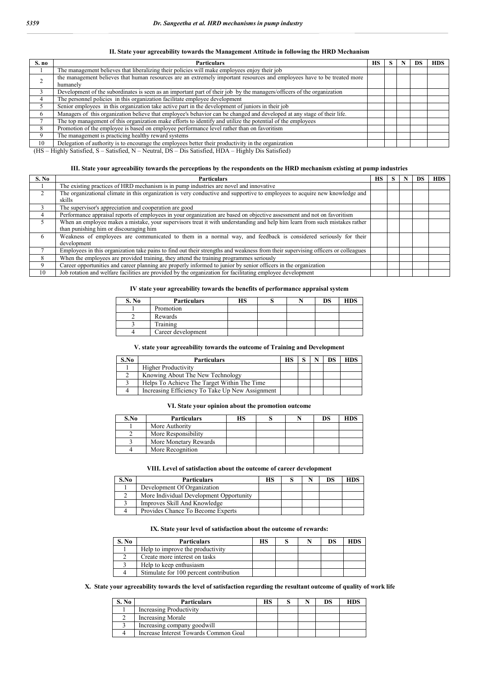#### **II. State your agreeability towards the Management Attitude in following the HRD Mechanism**

| S. no        | <b>Particulars</b>                                                                                                      | HS. |  | <b>HDS</b> |
|--------------|-------------------------------------------------------------------------------------------------------------------------|-----|--|------------|
|              | The management believes that liberalizing their policies will make employees enjoy their job                            |     |  |            |
|              | the management believes that human resources are an extremely important resources and employees have to be treated more |     |  |            |
|              | humanely                                                                                                                |     |  |            |
|              | Development of the subordinates is seen as an important part of their job by the managers/officers of the organization  |     |  |            |
|              | The personnel policies in this organization facilitate employee development                                             |     |  |            |
|              | Senior employees in this organization take active part in the development of juniors in their job                       |     |  |            |
| <sub>t</sub> | Managers of this organization believe that employee's behavior can be changed and developed at any stage of their life. |     |  |            |
|              | The top management of this organization make efforts to identify and utilize the potential of the employees             |     |  |            |
| 8            | Promotion of the employee is based on employee performance level rather than on favoritism                              |     |  |            |
| 9            | The management is practicing healthy reward systems                                                                     |     |  |            |
| 10           | Delegation of authority is to encourage the employees better their productivity in the organization                     |     |  |            |
|              | $\sigma$ to the local case in the local case in the true of case $\alpha$                                               |     |  |            |

(HS – Highly Satisfied, S – Satisfied, N – Neutral, DS – Dis Satisfied, HDA – Highly Dis Satisfied)

#### **III. State your agreeability towards the perceptions by the respondents on the HRD mechanism existing at pump industries**

| S. No | <b>Particulars</b>                                                                                                                    | НS | S | -DS | <b>HDS</b> |
|-------|---------------------------------------------------------------------------------------------------------------------------------------|----|---|-----|------------|
|       | The existing practices of HRD mechanism is in pump industries are novel and innovative                                                |    |   |     |            |
|       | The organizational climate in this organization is very conductive and supportive to employees to acquire new knowledge and<br>skills |    |   |     |            |
|       | The supervisor's appreciation and cooperation are good                                                                                |    |   |     |            |
|       | Performance appraisal reports of employees in your organization are based on objective assessment and not on favoritism               |    |   |     |            |
|       | When an employee makes a mistake, your supervisors treat it with understanding and help him learn from such mistakes rather           |    |   |     |            |
|       | than punishing him or discouraging him                                                                                                |    |   |     |            |
| 6     | Weakness of employees are communicated to them in a normal way, and feedback is considered seriously for their                        |    |   |     |            |
|       | development                                                                                                                           |    |   |     |            |
|       | Employees in this organization take pains to find out their strengths and weakness from their supervising officers or colleagues      |    |   |     |            |
|       | When the employees are provided training, they attend the training programmes seriously                                               |    |   |     |            |
| 9     | Career opportunities and career planning are properly informed to junior by senior officers in the organization                       |    |   |     |            |
| 10    | Job rotation and welfare facilities are provided by the organization for facilitating employee development                            |    |   |     |            |

#### **IV state your agreeability towards the benefits of performance appraisal system**

| S. No | <b>Particulars</b> | HS |  | DS | <b>HDS</b> |
|-------|--------------------|----|--|----|------------|
|       | Promotion          |    |  |    |            |
|       | Rewards            |    |  |    |            |
|       | Training           |    |  |    |            |
|       | Career development |    |  |    |            |

#### **V. state your agreeability towards the outcome of Training and Development**

| S.No | <b>Particulars</b>                              | НS |  | DS | <b>HDS</b> |
|------|-------------------------------------------------|----|--|----|------------|
|      | <b>Higher Productivity</b>                      |    |  |    |            |
|      | Knowing About The New Technology                |    |  |    |            |
|      | Helps To Achieve The Target Within The Time     |    |  |    |            |
|      | Increasing Efficiency To Take Up New Assignment |    |  |    |            |

#### **VI. State your opinion about the promotion outcome**

| S.No | <b>Particulars</b>    | НS |  | DS | <b>HDS</b> |
|------|-----------------------|----|--|----|------------|
|      | More Authority        |    |  |    |            |
|      | More Responsibility   |    |  |    |            |
|      | More Monetary Rewards |    |  |    |            |
|      | More Recognition      |    |  |    |            |

#### **VIII. Level of satisfaction about the outcome of career development**

| S.No | <b>Particulars</b>                      | нs |  | DS | HDS |
|------|-----------------------------------------|----|--|----|-----|
|      | Development Of Organization             |    |  |    |     |
|      | More Individual Development Opportunity |    |  |    |     |
|      | Improves Skill And Knowledge            |    |  |    |     |
|      | Provides Chance To Become Experts       |    |  |    |     |

#### **IX. State your level of satisfaction about the outcome of rewards:**

| S. No | <b>Particulars</b>                     | нs |  | DS | HDS |
|-------|----------------------------------------|----|--|----|-----|
|       | Help to improve the productivity       |    |  |    |     |
|       | Create more interest on tasks          |    |  |    |     |
|       | Help to keep enthusiasm                |    |  |    |     |
|       | Stimulate for 100 percent contribution |    |  |    |     |

# **X. State your agreeability towards the level of satisfaction regarding the resultant outcome of quality of work life**

| S. No | <b>Particulars</b>                    | НS |  | DS | HDS |
|-------|---------------------------------------|----|--|----|-----|
|       | Increasing Productivity               |    |  |    |     |
|       | Increasing Morale                     |    |  |    |     |
|       | Increasing company goodwill           |    |  |    |     |
|       | Increase Interest Towards Common Goal |    |  |    |     |